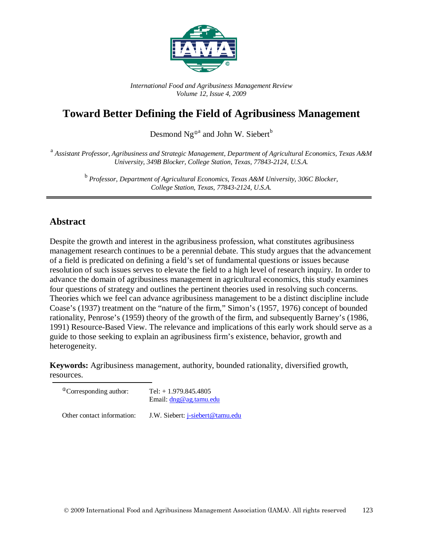

*International Food and Agribusiness Management Review Volume 12, Issue 4, 2009*

# **Toward Better Defining the Field of Agribusiness Management**

Desmond Ng<sup> $\Phi$ a</sup> and John W. Siebert<sup>b</sup>

<sup>a</sup> *Assistant Professor, Agribusiness and Strategic Management, Department of Agricultural Economics, Texas A&M University, 349B Blocker, College Station, Texas, 77843-2124, U.S.A.*

> <sup>b</sup> *Professor, Department of Agricultural Economics, Texas A&M University, 306C Blocker, College Station, Texas, 77843-2124, U.S.A.*

## **Abstract**

Despite the growth and interest in the agribusiness profession, what constitutes agribusiness management research continues to be a perennial debate. This study argues that the advancement of a field is predicated on defining a field's set of fundamental questions or issues because resolution of such issues serves to elevate the field to a high level of research inquiry. In order to advance the domain of agribusiness management in agricultural economics, this study examines four questions of strategy and outlines the pertinent theories used in resolving such concerns. Theories which we feel can advance agribusiness management to be a distinct discipline include Coase's (1937) treatment on the "nature of the firm," Simon's (1957, 1976) concept of bounded rationality, Penrose's (1959) theory of the growth of the firm, and subsequently Barney's (1986, 1991) Resource-Based View. The relevance and implications of this early work should serve as a guide to those seeking to explain an agribusiness firm's existence, behavior, growth and heterogeneity.

**Keywords:** Agribusiness management, authority, bounded rationality, diversified growth, resources.

| <sup>®</sup> Corresponding author: | Tel: $+ 1.979.845.4805$<br>Email: $\text{d}$ ng@ag.tamu.edu |
|------------------------------------|-------------------------------------------------------------|
| Other contact information:         | J.W. Siebert: <i>j</i> -siebert@tamu.edu                    |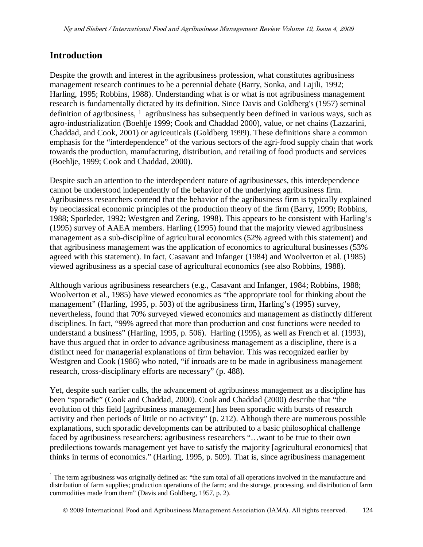## **Introduction**

Despite the growth and interest in the agribusiness profession, what constitutes agribusiness management research continues to be a perennial debate (Barry, Sonka, and Lajili, 1992; Harling, 1995; Robbins, 1988). Understanding what is or what is not agribusiness management research is fundamentally dictated by its definition. Since Davis and Goldberg's (1957) seminal definition of agribusiness, <sup>[1](#page-1-0)</sup> agribusiness has subsequently been defined in various ways, such as agro-industrialization (Boehlje 1999; Cook and Chaddad 2000), value, or net chains (Lazzarini, Chaddad, and Cook, 2001) or agriceuticals (Goldberg 1999). These definitions share a common emphasis for the "interdependence" of the various sectors of the agri-food supply chain that work towards the production, manufacturing, distribution, and retailing of food products and services (Boehlje, 1999; Cook and Chaddad, 2000).

Despite such an attention to the interdependent nature of agribusinesses, this interdependence cannot be understood independently of the behavior of the underlying agribusiness firm. Agribusiness researchers contend that the behavior of the agribusiness firm is typically explained by neoclassical economic principles of the production theory of the firm (Barry, 1999; Robbins, 1988; Sporleder, 1992; Westgren and Zering, 1998). This appears to be consistent with Harling's (1995) survey of AAEA members. Harling (1995) found that the majority viewed agribusiness management as a sub-discipline of agricultural economics (52% agreed with this statement) and that agribusiness management was the application of economics to agricultural businesses (53% agreed with this statement). In fact, Casavant and Infanger (1984) and Woolverton et al. (1985) viewed agribusiness as a special case of agricultural economics (see also Robbins, 1988).

Although various agribusiness researchers (e.g., Casavant and Infanger, 1984; Robbins, 1988; Woolverton et al., 1985) have viewed economics as "the appropriate tool for thinking about the management" (Harling, 1995, p. 503) of the agribusiness firm, Harling's (1995) survey, nevertheless, found that 70% surveyed viewed economics and management as distinctly different disciplines. In fact, "99% agreed that more than production and cost functions were needed to understand a business" (Harling, 1995, p. 506). Harling (1995), as well as French et al. (1993), have thus argued that in order to advance agribusiness management as a discipline, there is a distinct need for managerial explanations of firm behavior. This was recognized earlier by Westgren and Cook (1986) who noted, "if inroads are to be made in agribusiness management research, cross-disciplinary efforts are necessary" (p. 488).

Yet, despite such earlier calls, the advancement of agribusiness management as a discipline has been "sporadic" (Cook and Chaddad, 2000). Cook and Chaddad (2000) describe that "the evolution of this field [agribusiness management] has been sporadic with bursts of research activity and then periods of little or no activity" (p. 212). Although there are numerous possible explanations, such sporadic developments can be attributed to a basic philosophical challenge faced by agribusiness researchers: agribusiness researchers "…want to be true to their own predilections towards management yet have to satisfy the majority [agricultural economics] that thinks in terms of economics." (Harling, 1995, p. 509). That is, since agribusiness management

<span id="page-1-0"></span><sup>&</sup>lt;sup>1</sup> The term agribusiness was originally defined as: "the sum total of all operations involved in the manufacture and distribution of farm supplies; production operations of the farm; and the storage, processing, and distribution of farm commodities made from them" (Davis and Goldberg, 1957, p. 2).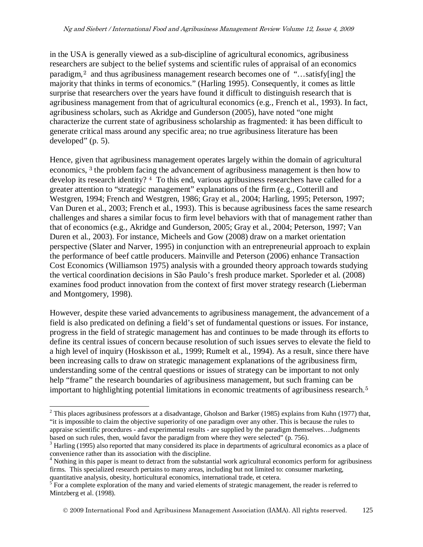in the USA is generally viewed as a sub-discipline of agricultural economics, agribusiness researchers are subject to the belief systems and scientific rules of appraisal of an economics paradigm,[2](#page-2-0) and thus agribusiness management research becomes one of "…satisfy[ing] the majority that thinks in terms of economics." (Harling 1995). Consequently, it comes as little surprise that researchers over the years have found it difficult to distinguish research that is agribusiness management from that of agricultural economics (e.g., French et al., 1993). In fact, agribusiness scholars, such as Akridge and Gunderson (2005), have noted "one might characterize the current state of agribusiness scholarship as fragmented: it has been difficult to generate critical mass around any specific area; no true agribusiness literature has been developed" (p. 5).

Hence, given that agribusiness management operates largely within the domain of agricultural economics, [3](#page-2-1) the problem facing the advancement of agribusiness management is then how to develop its research identity? <sup>[4](#page-2-2)</sup> To this end, various agribusiness researchers have called for a greater attention to "strategic management" explanations of the firm (e.g., Cotterill and Westgren, 1994; French and Westgren, 1986; Gray et al., 2004; Harling, 1995; Peterson, 1997; Van Duren et al., 2003; French et al., 1993). This is because agribusiness faces the same research challenges and shares a similar focus to firm level behaviors with that of management rather than that of economics (e.g., Akridge and Gunderson, 2005; Gray et al., 2004; Peterson, 1997; Van Duren et al., 2003). For instance, Micheels and Gow (2008) draw on a market orientation perspective (Slater and Narver, 1995) in conjunction with an entrepreneurial approach to explain the performance of beef cattle producers. Mainville and Peterson (2006) enhance Transaction Cost Economics (Williamson 1975) analysis with a grounded theory approach towards studying the vertical coordination decisions in São Paulo's fresh produce market. Sporleder et al. (2008) examines food product innovation from the context of first mover strategy research (Lieberman and Montgomery, 1998).

However, despite these varied advancements to agribusiness management, the advancement of a field is also predicated on defining a field's set of fundamental questions or issues. For instance, progress in the field of strategic management has and continues to be made through its efforts to define its central issues of concern because resolution of such issues serves to elevate the field to a high level of inquiry (Hoskisson et al., 1999; Rumelt et al., 1994). As a result, since there have been increasing calls to draw on strategic management explanations of the agribusiness firm, understanding some of the central questions or issues of strategy can be important to not only help "frame" the research boundaries of agribusiness management, but such framing can be important to highlighting potential limitations in economic treatments of agribusiness research.<sup>[5](#page-2-3)</sup>

<span id="page-2-0"></span> $2$  This places agribusiness professors at a disadvantage, Gholson and Barker (1985) explains from Kuhn (1977) that, "it is impossible to claim the objective superiority of one paradigm over any other. This is because the rules to appraise scientific procedures - and experimental results - are supplied by the paradigm themselves...Judgments based on such rules, then, would favor the paradigm from where they were selected" (p. 756).

<span id="page-2-1"></span> $3$  Harling (1995) also reported that many considered its place in departments of agricultural economics as a place of convenience rather than its association with the discipline.

<span id="page-2-2"></span> $4$  Nothing in this paper is meant to detract from the substantial work agricultural economics perform for agribusiness firms. This specialized research pertains to many areas, including but not limited to: consumer marketing, quantitative analysis, obesity, horticultural economics, international trade, et cetera.

<span id="page-2-3"></span> $5$  For a complete exploration of the many and varied elements of strategic management, the reader is referred to Mintzberg et al. (1998).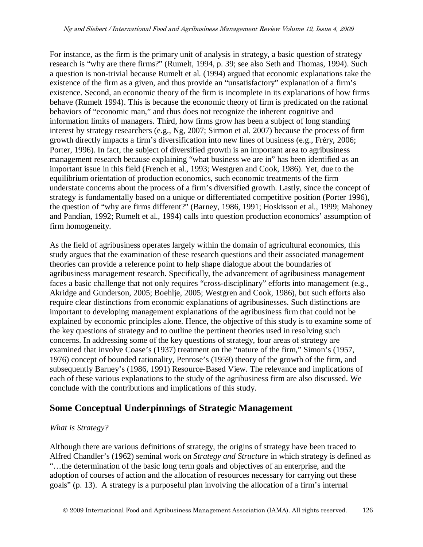For instance, as the firm is the primary unit of analysis in strategy, a basic question of strategy research is "why are there firms?" (Rumelt, 1994, p. 39; see also Seth and Thomas, 1994). Such a question is non-trivial because Rumelt et al. (1994) argued that economic explanations take the existence of the firm as a given, and thus provide an "unsatisfactory" explanation of a firm's existence. Second, an economic theory of the firm is incomplete in its explanations of how firms behave (Rumelt 1994). This is because the economic theory of firm is predicated on the rational behaviors of "economic man," and thus does not recognize the inherent cognitive and information limits of managers. Third, how firms grow has been a subject of long standing interest by strategy researchers (e.g., Ng, 2007; Sirmon et al. 2007) because the process of firm growth directly impacts a firm's diversification into new lines of business (e.g., Fréry, 2006; Porter, 1996). In fact, the subject of diversified growth is an important area to agribusiness management research because explaining "what business we are in" has been identified as an important issue in this field (French et al., 1993; Westgren and Cook, 1986). Yet, due to the equilibrium orientation of production economics, such economic treatments of the firm understate concerns about the process of a firm's diversified growth. Lastly, since the concept of strategy is fundamentally based on a unique or differentiated competitive position (Porter 1996), the question of "why are firms different?" (Barney, 1986, 1991; Hoskisson et al., 1999; Mahoney and Pandian, 1992; Rumelt et al., 1994) calls into question production economics' assumption of firm homogeneity.

As the field of agribusiness operates largely within the domain of agricultural economics, this study argues that the examination of these research questions and their associated management theories can provide a reference point to help shape dialogue about the boundaries of agribusiness management research. Specifically, the advancement of agribusiness management faces a basic challenge that not only requires "cross-disciplinary" efforts into management (e.g., Akridge and Gunderson, 2005; Boehlje, 2005; Westgren and Cook, 1986), but such efforts also require clear distinctions from economic explanations of agribusinesses. Such distinctions are important to developing management explanations of the agribusiness firm that could not be explained by economic principles alone. Hence, the objective of this study is to examine some of the key questions of strategy and to outline the pertinent theories used in resolving such concerns. In addressing some of the key questions of strategy, four areas of strategy are examined that involve Coase's (1937) treatment on the "nature of the firm," Simon's (1957, 1976) concept of bounded rationality, Penrose's (1959) theory of the growth of the firm, and subsequently Barney's (1986, 1991) Resource-Based View. The relevance and implications of each of these various explanations to the study of the agribusiness firm are also discussed. We conclude with the contributions and implications of this study.

## **Some Conceptual Underpinnings of Strategic Management**

#### *What is Strategy?*

Although there are various definitions of strategy, the origins of strategy have been traced to Alfred Chandler's (1962) seminal work on *Strategy and Structure* in which strategy is defined as "…the determination of the basic long term goals and objectives of an enterprise, and the adoption of courses of action and the allocation of resources necessary for carrying out these goals" (p. 13). A strategy is a purposeful plan involving the allocation of a firm's internal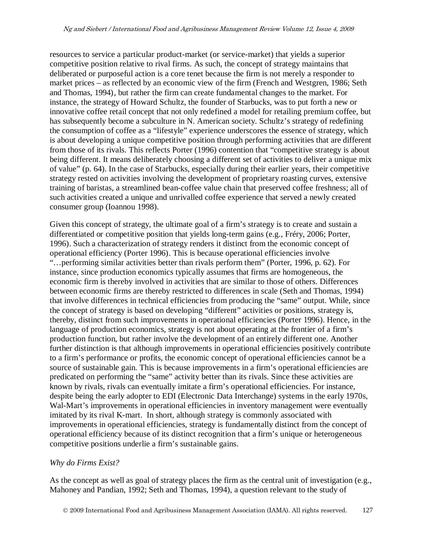resources to service a particular product-market (or service-market) that yields a superior competitive position relative to rival firms. As such, the concept of strategy maintains that deliberated or purposeful action is a core tenet because the firm is not merely a responder to market prices – as reflected by an economic view of the firm (French and Westgren, 1986; Seth and Thomas, 1994), but rather the firm can create fundamental changes to the market. For instance, the strategy of Howard Schultz, the founder of Starbucks, was to put forth a new or innovative coffee retail concept that not only redefined a model for retailing premium coffee, but has subsequently become a subculture in N. American society. Schultz's strategy of redefining the consumption of coffee as a "lifestyle" experience underscores the essence of strategy, which is about developing a unique competitive position through performing activities that are different from those of its rivals. This reflects Porter (1996) contention that "competitive strategy is about being different. It means deliberately choosing a different set of activities to deliver a unique mix of value" (p. 64). In the case of Starbucks, especially during their earlier years, their competitive strategy rested on activities involving the development of proprietary roasting curves, extensive training of baristas, a streamlined bean-coffee value chain that preserved coffee freshness; all of such activities created a unique and unrivalled coffee experience that served a newly created consumer group (Ioannou 1998).

Given this concept of strategy, the ultimate goal of a firm's strategy is to create and sustain a differentiated or competitive position that yields long-term gains (e.g., Fréry, 2006; Porter, 1996). Such a characterization of strategy renders it distinct from the economic concept of operational efficiency (Porter 1996). This is because operational efficiencies involve "…performing similar activities better than rivals perform them" (Porter, 1996, p. 62). For instance, since production economics typically assumes that firms are homogeneous, the economic firm is thereby involved in activities that are similar to those of others. Differences between economic firms are thereby restricted to differences in scale (Seth and Thomas, 1994) that involve differences in technical efficiencies from producing the "same" output. While, since the concept of strategy is based on developing "different" activities or positions, strategy is, thereby, distinct from such improvements in operational efficiencies (Porter 1996). Hence, in the language of production economics, strategy is not about operating at the frontier of a firm's production function, but rather involve the development of an entirely different one. Another further distinction is that although improvements in operational efficiencies positively contribute to a firm's performance or profits, the economic concept of operational efficiencies cannot be a source of sustainable gain. This is because improvements in a firm's operational efficiencies are predicated on performing the "same" activity better than its rivals. Since these activities are known by rivals, rivals can eventually imitate a firm's operational efficiencies. For instance, despite being the early adopter to EDI (Electronic Data Interchange) systems in the early 1970s, Wal-Mart's improvements in operational efficiencies in inventory management were eventually imitated by its rival K-mart. In short, although strategy is commonly associated with improvements in operational efficiencies, strategy is fundamentally distinct from the concept of operational efficiency because of its distinct recognition that a firm's unique or heterogeneous competitive positions underlie a firm's sustainable gains.

#### *Why do Firms Exist?*

As the concept as well as goal of strategy places the firm as the central unit of investigation (e.g., Mahoney and Pandian, 1992; Seth and Thomas, 1994), a question relevant to the study of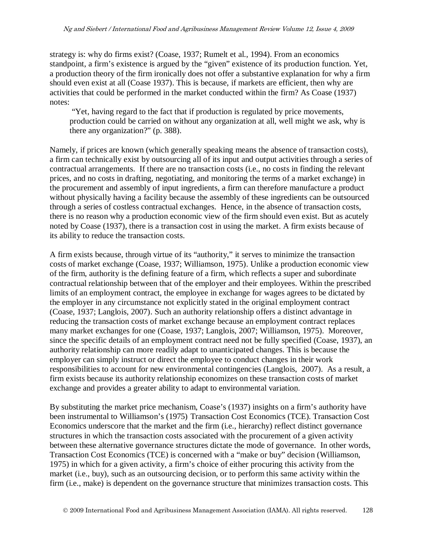strategy is: why do firms exist? (Coase, 1937; Rumelt et al., 1994). From an economics standpoint, a firm's existence is argued by the "given" existence of its production function. Yet, a production theory of the firm ironically does not offer a substantive explanation for why a firm should even exist at all (Coase 1937). This is because, if markets are efficient, then why are activities that could be performed in the market conducted within the firm? As Coase (1937) notes:

"Yet, having regard to the fact that if production is regulated by price movements, production could be carried on without any organization at all, well might we ask, why is there any organization?" (p. 388).

Namely, if prices are known (which generally speaking means the absence of transaction costs), a firm can technically exist by outsourcing all of its input and output activities through a series of contractual arrangements. If there are no transaction costs (i.e., no costs in finding the relevant prices, and no costs in drafting, negotiating, and monitoring the terms of a market exchange) in the procurement and assembly of input ingredients, a firm can therefore manufacture a product without physically having a facility because the assembly of these ingredients can be outsourced through a series of costless contractual exchanges. Hence, in the absence of transaction costs, there is no reason why a production economic view of the firm should even exist. But as acutely noted by Coase (1937), there is a transaction cost in using the market. A firm exists because of its ability to reduce the transaction costs.

A firm exists because, through virtue of its "authority," it serves to minimize the transaction costs of market exchange (Coase, 1937; Williamson, 1975). Unlike a production economic view of the firm, authority is the defining feature of a firm, which reflects a super and subordinate contractual relationship between that of the employer and their employees. Within the prescribed limits of an employment contract, the employee in exchange for wages agrees to be dictated by the employer in any circumstance not explicitly stated in the original employment contract (Coase, 1937; Langlois, 2007). Such an authority relationship offers a distinct advantage in reducing the transaction costs of market exchange because an employment contract replaces many market exchanges for one (Coase, 1937; Langlois, 2007; Williamson, 1975). Moreover, since the specific details of an employment contract need not be fully specified (Coase, 1937), an authority relationship can more readily adapt to unanticipated changes. This is because the employer can simply instruct or direct the employee to conduct changes in their work responsibilities to account for new environmental contingencies (Langlois, 2007). As a result, a firm exists because its authority relationship economizes on these transaction costs of market exchange and provides a greater ability to adapt to environmental variation.

By substituting the market price mechanism, Coase's (1937) insights on a firm's authority have been instrumental to Williamson's (1975) Transaction Cost Economics (TCE). Transaction Cost Economics underscore that the market and the firm (i.e., hierarchy) reflect distinct governance structures in which the transaction costs associated with the procurement of a given activity between these alternative governance structures dictate the mode of governance. In other words, Transaction Cost Economics (TCE) is concerned with a "make or buy" decision (Williamson, 1975) in which for a given activity, a firm's choice of either procuring this activity from the market (i.e., buy), such as an outsourcing decision, or to perform this same activity within the firm (i.e., make) is dependent on the governance structure that minimizes transaction costs. This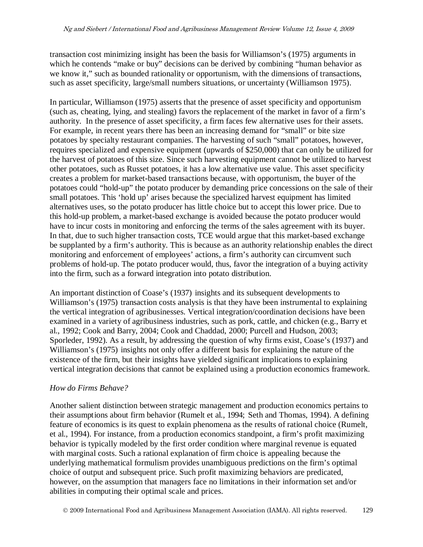transaction cost minimizing insight has been the basis for Williamson's (1975) arguments in which he contends "make or buy" decisions can be derived by combining "human behavior as we know it," such as bounded rationality or opportunism, with the dimensions of transactions, such as asset specificity, large/small numbers situations, or uncertainty (Williamson 1975).

In particular, Williamson (1975) asserts that the presence of asset specificity and opportunism (such as, cheating, lying, and stealing) favors the replacement of the market in favor of a firm's authority. In the presence of asset specificity, a firm faces few alternative uses for their assets. For example, in recent years there has been an increasing demand for "small" or bite size potatoes by specialty restaurant companies. The harvesting of such "small" potatoes, however, requires specialized and expensive equipment (upwards of \$250,000) that can only be utilized for the harvest of potatoes of this size. Since such harvesting equipment cannot be utilized to harvest other potatoes, such as Russet potatoes, it has a low alternative use value. This asset specificity creates a problem for market-based transactions because, with opportunism, the buyer of the potatoes could "hold-up" the potato producer by demanding price concessions on the sale of their small potatoes. This 'hold up' arises because the specialized harvest equipment has limited alternatives uses, so the potato producer has little choice but to accept this lower price. Due to this hold-up problem, a market-based exchange is avoided because the potato producer would have to incur costs in monitoring and enforcing the terms of the sales agreement with its buyer. In that, due to such higher transaction costs, TCE would argue that this market-based exchange be supplanted by a firm's authority. This is because as an authority relationship enables the direct monitoring and enforcement of employees' actions, a firm's authority can circumvent such problems of hold-up. The potato producer would, thus, favor the integration of a buying activity into the firm, such as a forward integration into potato distribution.

An important distinction of Coase's (1937) insights and its subsequent developments to Williamson's (1975) transaction costs analysis is that they have been instrumental to explaining the vertical integration of agribusinesses. Vertical integration/coordination decisions have been examined in a variety of agribusiness industries, such as pork, cattle, and chicken (e.g., Barry et al., 1992; Cook and Barry, 2004; Cook and Chaddad, 2000; Purcell and Hudson, 2003; Sporleder, 1992). As a result, by addressing the question of why firms exist, Coase's (1937) and Williamson's (1975) insights not only offer a different basis for explaining the nature of the existence of the firm, but their insights have yielded significant implications to explaining vertical integration decisions that cannot be explained using a production economics framework.

#### *How do Firms Behave?*

Another salient distinction between strategic management and production economics pertains to their assumptions about firm behavior (Rumelt et al., 1994; Seth and Thomas, 1994). A defining feature of economics is its quest to explain phenomena as the results of rational choice (Rumelt, et al., 1994). For instance, from a production economics standpoint, a firm's profit maximizing behavior is typically modeled by the first order condition where marginal revenue is equated with marginal costs. Such a rational explanation of firm choice is appealing because the underlying mathematical formulism provides unambiguous predictions on the firm's optimal choice of output and subsequent price. Such profit maximizing behaviors are predicated, however, on the assumption that managers face no limitations in their information set and/or abilities in computing their optimal scale and prices.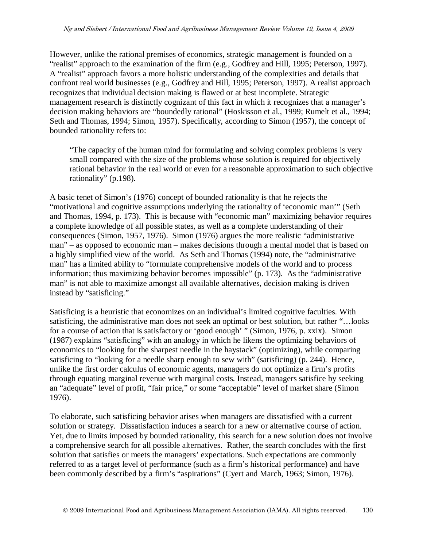However, unlike the rational premises of economics, strategic management is founded on a "realist" approach to the examination of the firm (e.g., Godfrey and Hill, 1995; Peterson, 1997). A "realist" approach favors a more holistic understanding of the complexities and details that confront real world businesses (e.g., Godfrey and Hill, 1995; Peterson, 1997). A realist approach recognizes that individual decision making is flawed or at best incomplete. Strategic management research is distinctly cognizant of this fact in which it recognizes that a manager's decision making behaviors are "boundedly rational" (Hoskisson et al., 1999; Rumelt et al., 1994; Seth and Thomas, 1994; Simon, 1957). Specifically, according to Simon (1957), the concept of bounded rationality refers to:

"The capacity of the human mind for formulating and solving complex problems is very small compared with the size of the problems whose solution is required for objectively rational behavior in the real world or even for a reasonable approximation to such objective rationality" (p.198).

A basic tenet of Simon's (1976) concept of bounded rationality is that he rejects the "motivational and cognitive assumptions underlying the rationality of 'economic man'" (Seth and Thomas, 1994, p. 173). This is because with "economic man" maximizing behavior requires a complete knowledge of all possible states, as well as a complete understanding of their consequences (Simon, 1957, 1976). Simon (1976) argues the more realistic "administrative man" – as opposed to economic man – makes decisions through a mental model that is based on a highly simplified view of the world. As Seth and Thomas (1994) note, the "administrative man" has a limited ability to "formulate comprehensive models of the world and to process information; thus maximizing behavior becomes impossible" (p. 173). As the "administrative man" is not able to maximize amongst all available alternatives, decision making is driven instead by "satisficing."

Satisficing is a heuristic that economizes on an individual's limited cognitive faculties. With satisficing, the administrative man does not seek an optimal or best solution, but rather "…looks for a course of action that is satisfactory or 'good enough' " (Simon, 1976, p. xxix). Simon (1987) explains "satisficing" with an analogy in which he likens the optimizing behaviors of economics to "looking for the sharpest needle in the haystack" (optimizing), while comparing satisficing to "looking for a needle sharp enough to sew with" (satisficing) (p. 244). Hence, unlike the first order calculus of economic agents, managers do not optimize a firm's profits through equating marginal revenue with marginal costs. Instead, managers satisfice by seeking an "adequate" level of profit, "fair price," or some "acceptable" level of market share (Simon 1976).

To elaborate, such satisficing behavior arises when managers are dissatisfied with a current solution or strategy. Dissatisfaction induces a search for a new or alternative course of action. Yet, due to limits imposed by bounded rationality, this search for a new solution does not involve a comprehensive search for all possible alternatives. Rather, the search concludes with the first solution that satisfies or meets the managers' expectations. Such expectations are commonly referred to as a target level of performance (such as a firm's historical performance) and have been commonly described by a firm's "aspirations" (Cyert and March, 1963; Simon, 1976).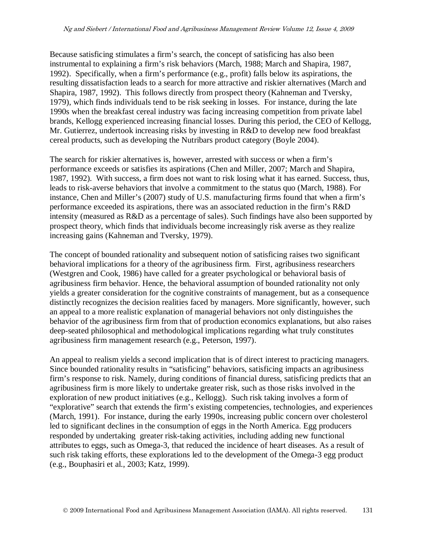Because satisficing stimulates a firm's search, the concept of satisficing has also been instrumental to explaining a firm's risk behaviors (March, 1988; March and Shapira, 1987, 1992). Specifically, when a firm's performance (e.g., profit) falls below its aspirations, the resulting dissatisfaction leads to a search for more attractive and riskier alternatives (March and Shapira, 1987, 1992). This follows directly from prospect theory (Kahneman and Tversky, 1979), which finds individuals tend to be risk seeking in losses. For instance, during the late 1990s when the breakfast cereal industry was facing increasing competition from private label brands, Kellogg experienced increasing financial losses. During this period, the CEO of Kellogg, Mr. Gutierrez, undertook increasing risks by investing in R&D to develop new food breakfast cereal products, such as developing the Nutribars product category (Boyle 2004).

The search for riskier alternatives is, however, arrested with success or when a firm's performance exceeds or satisfies its aspirations (Chen and Miller, 2007; March and Shapira, 1987, 1992). With success, a firm does not want to risk losing what it has earned. Success, thus, leads to risk-averse behaviors that involve a commitment to the status quo (March, 1988). For instance, Chen and Miller's (2007) study of U.S. manufacturing firms found that when a firm's performance exceeded its aspirations, there was an associated reduction in the firm's R&D intensity (measured as R&D as a percentage of sales). Such findings have also been supported by prospect theory, which finds that individuals become increasingly risk averse as they realize increasing gains (Kahneman and Tversky, 1979).

The concept of bounded rationality and subsequent notion of satisficing raises two significant behavioral implications for a theory of the agribusiness firm. First, agribusiness researchers (Westgren and Cook, 1986) have called for a greater psychological or behavioral basis of agribusiness firm behavior. Hence, the behavioral assumption of bounded rationality not only yields a greater consideration for the cognitive constraints of management, but as a consequence distinctly recognizes the decision realities faced by managers. More significantly, however, such an appeal to a more realistic explanation of managerial behaviors not only distinguishes the behavior of the agribusiness firm from that of production economics explanations, but also raises deep-seated philosophical and methodological implications regarding what truly constitutes agribusiness firm management research (e.g., Peterson, 1997).

An appeal to realism yields a second implication that is of direct interest to practicing managers. Since bounded rationality results in "satisficing" behaviors, satisficing impacts an agribusiness firm's response to risk. Namely, during conditions of financial duress, satisficing predicts that an agribusiness firm is more likely to undertake greater risk, such as those risks involved in the exploration of new product initiatives (e.g., Kellogg). Such risk taking involves a form of "explorative" search that extends the firm's existing competencies, technologies, and experiences (March, 1991). For instance, during the early 1990s, increasing public concern over cholesterol led to significant declines in the consumption of eggs in the North America. Egg producers responded by undertaking greater risk-taking activities, including adding new functional attributes to eggs, such as Omega-3, that reduced the incidence of heart diseases. As a result of such risk taking efforts, these explorations led to the development of the Omega-3 egg product (e.g., Bouphasiri et al., 2003; Katz, 1999).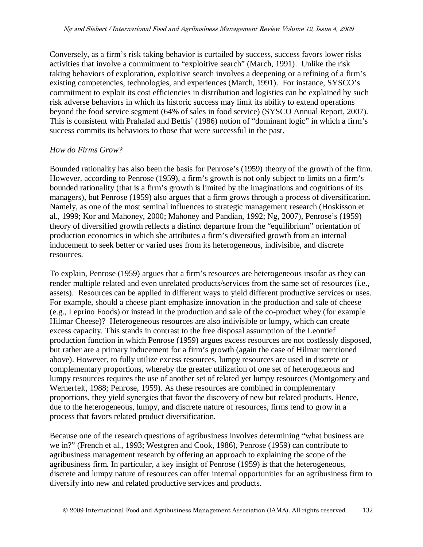Conversely, as a firm's risk taking behavior is curtailed by success, success favors lower risks activities that involve a commitment to "exploitive search" (March, 1991). Unlike the risk taking behaviors of exploration, exploitive search involves a deepening or a refining of a firm's existing competencies, technologies, and experiences (March, 1991). For instance, SYSCO's commitment to exploit its cost efficiencies in distribution and logistics can be explained by such risk adverse behaviors in which its historic success may limit its ability to extend operations beyond the food service segment (64% of sales in food service) (SYSCO Annual Report, 2007). This is consistent with Prahalad and Bettis' (1986) notion of "dominant logic" in which a firm's success commits its behaviors to those that were successful in the past.

#### *How do Firms Grow?*

Bounded rationality has also been the basis for Penrose's (1959) theory of the growth of the firm. However, according to Penrose (1959), a firm's growth is not only subject to limits on a firm's bounded rationality (that is a firm's growth is limited by the imaginations and cognitions of its managers), but Penrose (1959) also argues that a firm grows through a process of diversification. Namely, as one of the most seminal influences to strategic management research (Hoskisson et al., 1999; Kor and Mahoney, 2000; Mahoney and Pandian, 1992; Ng, 2007), Penrose's (1959) theory of diversified growth reflects a distinct departure from the "equilibrium" orientation of production economics in which she attributes a firm's diversified growth from an internal inducement to seek better or varied uses from its heterogeneous, indivisible, and discrete resources.

To explain, Penrose (1959) argues that a firm's resources are heterogeneous insofar as they can render multiple related and even unrelated products/services from the same set of resources (i.e., assets). Resources can be applied in different ways to yield different productive services or uses. For example, should a cheese plant emphasize innovation in the production and sale of cheese (e.g., Leprino Foods) or instead in the production and sale of the co-product whey (for example Hilmar Cheese)? Heterogeneous resources are also indivisible or lumpy, which can create excess capacity. This stands in contrast to the free disposal assumption of the Leontief production function in which Penrose (1959) argues excess resources are not costlessly disposed, but rather are a primary inducement for a firm's growth (again the case of Hilmar mentioned above). However, to fully utilize excess resources, lumpy resources are used in discrete or complementary proportions, whereby the greater utilization of one set of heterogeneous and lumpy resources requires the use of another set of related yet lumpy resources (Montgomery and Wernerfelt, 1988; Penrose, 1959). As these resources are combined in complementary proportions, they yield synergies that favor the discovery of new but related products. Hence, due to the heterogeneous, lumpy, and discrete nature of resources, firms tend to grow in a process that favors related product diversification.

Because one of the research questions of agribusiness involves determining "what business are we in?" (French et al., 1993; Westgren and Cook, 1986), Penrose (1959) can contribute to agribusiness management research by offering an approach to explaining the scope of the agribusiness firm. In particular, a key insight of Penrose (1959) is that the heterogeneous, discrete and lumpy nature of resources can offer internal opportunities for an agribusiness firm to diversify into new and related productive services and products.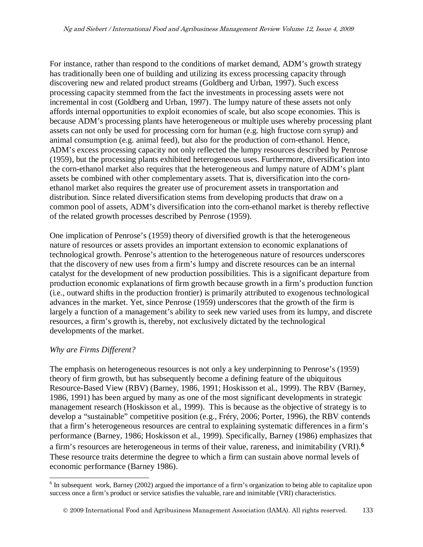For instance, rather than respond to the conditions of market demand, ADM's growth strategy has traditionally been one of building and utilizing its excess processing capacity through discovering new and related product streams (Goldberg and Urban, 1997). Such excess processing capacity stemmed from the fact the investments in processing assets were not incremental in cost (Goldberg and Urban, 1997). The lumpy nature of these assets not only affords internal opportunities to exploit economies of scale, but also scope economies. This is because ADM's processing plants have heterogeneous or multiple uses whereby processing plant assets can not only be used for processing corn for human (e.g. high fructose corn syrup) and animal consumption (e.g. animal feed), but also for the production of corn-ethanol. Hence, ADM's excess processing capacity not only reflected the lumpy resources described by Penrose (1959), but the processing plants exhibited heterogeneous uses. Furthermore, diversification into the corn-ethanol market also requires that the heterogeneous and lumpy nature of ADM's plant assets be combined with other complementary assets. That is, diversification into the cornethanol market also requires the greater use of procurement assets in transportation and distribution. Since related diversification stems from developing products that draw on a common pool of assets, ADM's diversification into the corn-ethanol market is thereby reflective of the related growth processes described by Penrose (1959).

One implication of Penrose's (1959) theory of diversified growth is that the heterogeneous nature of resources or assets provides an important extension to economic explanations of technological growth. Penrose's attention to the heterogeneous nature of resources underscores that the discovery of new uses from a firm's lumpy and discrete resources can be an internal catalyst for the development of new production possibilities. This is a significant departure from production economic explanations of firm growth because growth in a firm's production function (i.e., outward shifts in the production frontier) is primarily attributed to exogenous technological advances in the market. Yet, since Penrose (1959) underscores that the growth of the firm is largely a function of a management's ability to seek new varied uses from its lumpy, and discrete resources, a firm's growth is, thereby, not exclusively dictated by the technological developments of the market.

### *Why are Firms Different?*

The emphasis on heterogeneous resources is not only a key underpinning to Penrose's (1959) theory of firm growth, but has subsequently become a defining feature of the ubiquitous Resource-Based View (RBV) (Barney, 1986, 1991; Hoskisson et al., 1999). The RBV (Barney, 1986, 1991) has been argued by many as one of the most significant developments in strategic management research (Hoskisson et al., 1999). This is because as the objective of strategy is to develop a "sustainable" competitive position (e.g., Fréry, 2006; Porter, 1996), the RBV contends that a firm's heterogeneous resources are central to explaining systematic differences in a firm's performance (Barney, 1986; Hoskisson et al., 1999). Specifically, Barney (1986) emphasizes that a firm's resources are heterogeneous in terms of their value, rareness, and inimitability (VRI).**[6](#page-10-0)** These resource traits determine the degree to which a firm can sustain above normal levels of economic performance (Barney 1986).

<span id="page-10-0"></span> $6$  In subsequent work, Barney (2002) argued the importance of a firm's organization to being able to capitalize upon success once a firm's product or service satisfies the valuable, rare and inimitable (VRI) characteristics.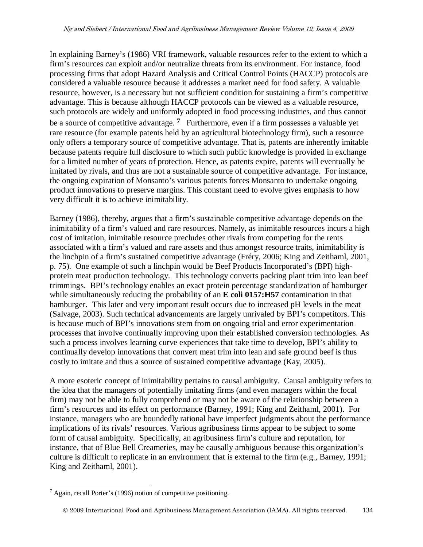In explaining Barney's (1986) VRI framework, valuable resources refer to the extent to which a firm's resources can exploit and/or neutralize threats from its environment. For instance, food processing firms that adopt Hazard Analysis and Critical Control Points (HACCP) protocols are considered a valuable resource because it addresses a market need for food safety. A valuable resource, however, is a necessary but not sufficient condition for sustaining a firm's competitive advantage. This is because although HACCP protocols can be viewed as a valuable resource, such protocols are widely and uniformly adopted in food processing industries, and thus cannot be a source of competitive advantage. **[7](#page-11-0)** Furthermore, even if a firm possesses a valuable yet rare resource (for example patents held by an agricultural biotechnology firm), such a resource only offers a temporary source of competitive advantage. That is, patents are inherently imitable because patents require full disclosure to which such public knowledge is provided in exchange for a limited number of years of protection. Hence, as patents expire, patents will eventually be imitated by rivals, and thus are not a sustainable source of competitive advantage. For instance, the ongoing expiration of Monsanto's various patents forces Monsanto to undertake ongoing product innovations to preserve margins. This constant need to evolve gives emphasis to how very difficult it is to achieve inimitability.

Barney (1986), thereby, argues that a firm's sustainable competitive advantage depends on the inimitability of a firm's valued and rare resources. Namely, as inimitable resources incurs a high cost of imitation, inimitable resource precludes other rivals from competing for the rents associated with a firm's valued and rare assets and thus amongst resource traits, inimitability is the linchpin of a firm's sustained competitive advantage (Fréry, 2006; King and Zeithaml, 2001, p. 75). One example of such a linchpin would be Beef Products Incorporated's (BPI) highprotein meat production technology. This technology converts packing plant trim into lean beef trimmings. BPI's technology enables an exact protein percentage standardization of hamburger while simultaneously reducing the probability of an **E** coli 0157:H57 contamination in that hamburger. This later and very important result occurs due to increased pH levels in the meat (Salvage, 2003). Such technical advancements are largely unrivaled by BPI's competitors. This is because much of BPI's innovations stem from on ongoing trial and error experimentation processes that involve continually improving upon their established conversion technologies. As such a process involves learning curve experiences that take time to develop, BPI's ability to continually develop innovations that convert meat trim into lean and safe ground beef is thus costly to imitate and thus a source of sustained competitive advantage (Kay, 2005).

A more esoteric concept of inimitability pertains to causal ambiguity. Causal ambiguity refers to the idea that the managers of potentially imitating firms (and even managers within the focal firm) may not be able to fully comprehend or may not be aware of the relationship between a firm's resources and its effect on performance (Barney, 1991; King and Zeithaml, 2001). For instance, managers who are boundedly rational have imperfect judgments about the performance implications of its rivals' resources. Various agribusiness firms appear to be subject to some form of causal ambiguity. Specifically, an agribusiness firm's culture and reputation, for instance, that of Blue Bell Creameries, may be causally ambiguous because this organization's culture is difficult to replicate in an environment that is external to the firm (e.g., Barney, 1991; King and Zeithaml, 2001).

<span id="page-11-0"></span> $\alpha$ <sup>7</sup> Again, recall Porter's (1996) notion of competitive positioning.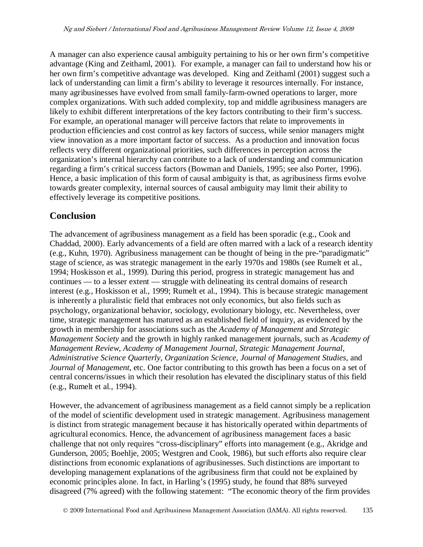A manager can also experience causal ambiguity pertaining to his or her own firm's competitive advantage (King and Zeithaml, 2001). For example, a manager can fail to understand how his or her own firm's competitive advantage was developed. King and Zeithaml (2001) suggest such a lack of understanding can limit a firm's ability to leverage it resources internally. For instance, many agribusinesses have evolved from small family-farm-owned operations to larger, more complex organizations. With such added complexity, top and middle agribusiness managers are likely to exhibit different interpretations of the key factors contributing to their firm's success. For example, an operational manager will perceive factors that relate to improvements in production efficiencies and cost control as key factors of success, while senior managers might view innovation as a more important factor of success. As a production and innovation focus reflects very different organizational priorities, such differences in perception across the organization's internal hierarchy can contribute to a lack of understanding and communication regarding a firm's critical success factors (Bowman and Daniels, 1995; see also Porter, 1996). Hence, a basic implication of this form of causal ambiguity is that, as agribusiness firms evolve towards greater complexity, internal sources of causal ambiguity may limit their ability to effectively leverage its competitive positions.

## **Conclusion**

The advancement of agribusiness management as a field has been sporadic (e.g., Cook and Chaddad, 2000). Early advancements of a field are often marred with a lack of a research identity (e.g., Kuhn, 1970). Agribusiness management can be thought of being in the pre-"paradigmatic" stage of science, as was strategic management in the early 1970s and 1980s (see Rumelt et al., 1994; Hoskisson et al., 1999). During this period, progress in strategic management has and continues — to a lesser extent — struggle with delineating its central domains of research interest (e.g., Hoskisson et al., 1999; Rumelt et al., 1994). This is because strategic management is inherently a pluralistic field that embraces not only economics, but also fields such as psychology, organizational behavior, sociology, evolutionary biology, etc. Nevertheless, over time, strategic management has matured as an established field of inquiry, as evidenced by the growth in membership for associations such as the *Academy of Management* and *Strategic Management Society* and the growth in highly ranked management journals, such as *Academy of Management Review, Academy of Management Journal, Strategic Management Journal, Administrative Science Quarterly, Organization Science, Journal of Management Studies,* and *Journal of Management*, etc. One factor contributing to this growth has been a focus on a set of central concerns/issues in which their resolution has elevated the disciplinary status of this field (e.g., Rumelt et al., 1994).

However, the advancement of agribusiness management as a field cannot simply be a replication of the model of scientific development used in strategic management. Agribusiness management is distinct from strategic management because it has historically operated within departments of agricultural economics. Hence, the advancement of agribusiness management faces a basic challenge that not only requires "cross-disciplinary" efforts into management (e.g., Akridge and Gunderson, 2005; Boehlje, 2005; Westgren and Cook, 1986), but such efforts also require clear distinctions from economic explanations of agribusinesses. Such distinctions are important to developing management explanations of the agribusiness firm that could not be explained by economic principles alone. In fact, in Harling's (1995) study, he found that 88% surveyed disagreed (7% agreed) with the following statement: "The economic theory of the firm provides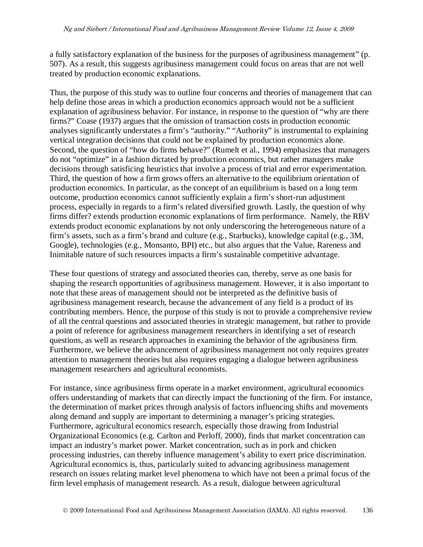a fully satisfactory explanation of the business for the purposes of agribusiness management" (p. 507). As a result, this suggests agribusiness management could focus on areas that are not well treated by production economic explanations.

Thus, the purpose of this study was to outline four concerns and theories of management that can help define those areas in which a production economics approach would not be a sufficient explanation of agribusiness behavior. For instance, in response to the question of "why are there firms?" Coase (1937) argues that the omission of transaction costs in production economic analyses significantly understates a firm's "authority." "Authority" is instrumental to explaining vertical integration decisions that could not be explained by production economics alone. Second, the question of "how do firms behave?" (Rumelt et al., 1994) emphasizes that managers do not "optimize" in a fashion dictated by production economics, but rather managers make decisions through satisficing heuristics that involve a process of trial and error experimentation. Third, the question of how a firm grows offers an alternative to the equilibrium orientation of production economics. In particular, as the concept of an equilibrium is based on a long term outcome, production economics cannot sufficiently explain a firm's short-run adjustment process, especially in regards to a firm's related diversified growth. Lastly, the question of why firms differ? extends production economic explanations of firm performance. Namely, the RBV extends product economic explanations by not only underscoring the heterogeneous nature of a firm's assets, such as a firm's brand and culture (e.g., Starbucks), knowledge capital (e.g., 3M, Google), technologies (e.g., Monsanto, BPI) etc., but also argues that the Value, Rareness and Inimitable nature of such resources impacts a firm's sustainable competitive advantage.

These four questions of strategy and associated theories can, thereby, serve as one basis for shaping the research opportunities of agribusiness management. However, it is also important to note that these areas of management should not be interpreted as the definitive basis of agribusiness management research, because the advancement of any field is a product of its contributing members. Hence, the purpose of this study is not to provide a comprehensive review of all the central questions and associated theories in strategic management, but rather to provide a point of reference for agribusiness management researchers in identifying a set of research questions, as well as research approaches in examining the behavior of the agribusiness firm. Furthermore, we believe the advancement of agribusiness management not only requires greater attention to management theories but also requires engaging a dialogue between agribusiness management researchers and agricultural economists.

For instance, since agribusiness firms operate in a market environment, agricultural economics offers understanding of markets that can directly impact the functioning of the firm. For instance, the determination of market prices through analysis of factors influencing shifts and movements along demand and supply are important to determining a manager's pricing strategies. Furthermore, agricultural economics research, especially those drawing from Industrial Organizational Economics (e.g. Carlton and Perloff, 2000), finds that market concentration can impact an industry's market power. Market concentration, such as in pork and chicken processing industries, can thereby influence management's ability to exert price discrimination. Agricultural economics is, thus, particularly suited to advancing agribusiness management research on issues relating market level phenomena to which have not been a primal focus of the firm level emphasis of management research. As a result, dialogue between agricultural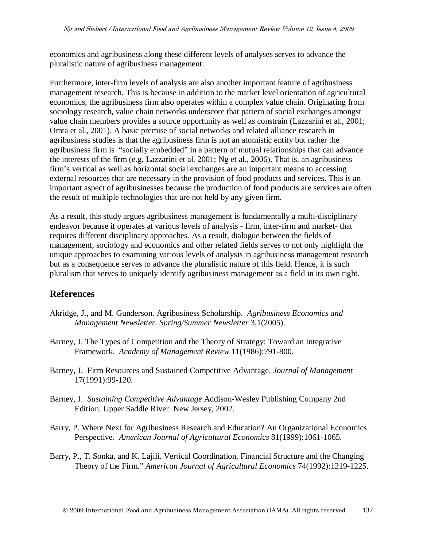economics and agribusiness along these different levels of analyses serves to advance the pluralistic nature of agribusiness management.

Furthermore, inter-firm levels of analysis are also another important feature of agribusiness management research. This is because in addition to the market level orientation of agricultural economics, the agribusiness firm also operates within a complex value chain. Originating from sociology research, value chain networks underscore that pattern of social exchanges amongst value chain members provides a source opportunity as well as constrain (Lazzarini et al., 2001; Omta et al., 2001). A basic premise of social networks and related alliance research in agribusiness studies is that the agribusiness firm is not an atomistic entity but rather the agribusiness firm is "socially embedded" in a pattern of mutual relationships that can advance the interests of the firm (e.g. Lazzarini et al. 2001; Ng et al., 2006). That is, an agribusiness firm's vertical as well as horizontal social exchanges are an important means to accessing external resources that are necessary in the provision of food products and services. This is an important aspect of agribusinesses because the production of food products are services are often the result of multiple technologies that are not held by any given firm.

As a result, this study argues agribusiness management is fundamentally a multi-disciplinary endeavor because it operates at various levels of analysis - firm, inter-firm and market- that requires different disciplinary approaches. As a result, dialogue between the fields of management, sociology and economics and other related fields serves to not only highlight the unique approaches to examining various levels of analysis in agribusiness management research but as a consequence serves to advance the pluralistic nature of this field. Hence, it is such pluralism that serves to uniquely identify agribusiness management as a field in its own right.

## **References**

- Akridge, J., and M. Gunderson. Agribusiness Scholarship. *Agribusiness Economics and Management Newsletter. Spring/Summer Newsletter* 3,1(2005).
- Barney, J. The Types of Competition and the Theory of Strategy: Toward an Integrative Framework. *Academy of Management Review* 11(1986):791-800.
- Barney, J. Firm Resources and Sustained Competitive Advantage. *Journal of Management* 17(1991):99-120.
- Barney, J. *Sustaining Competitive Advantage* Addison-Wesley Publishing Company 2nd Edition. Upper Saddle River: New Jersey, 2002.
- Barry, P. Where Next for Agribusiness Research and Education? An Organizational Economics Perspective. *American Journal of Agricultural Economics* 81(1999):1061-1065.
- Barry, P., T. Sonka, and K. Lajili. Vertical Coordination, Financial Structure and the Changing Theory of the Firm." *American Journal of Agricultural Economics* 74(1992):1219-1225.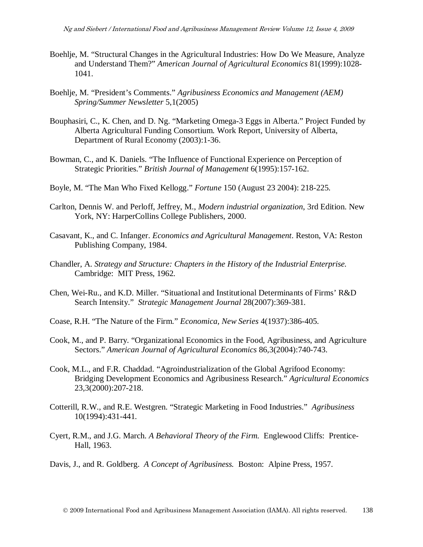- Boehlje, M. "Structural Changes in the Agricultural Industries: How Do We Measure, Analyze and Understand Them?" *American Journal of Agricultural Economics* 81(1999):1028- 1041.
- Boehlje, M. "President's Comments." *Agribusiness Economics and Management (AEM) Spring/Summer Newsletter* 5,1(2005)
- Bouphasiri, C., K. Chen, and D. Ng. "Marketing Omega-3 Eggs in Alberta." Project Funded by Alberta Agricultural Funding Consortium. Work Report, University of Alberta, Department of Rural Economy (2003):1-36.
- Bowman, C., and K. Daniels. "The Influence of Functional Experience on Perception of Strategic Priorities." *British Journal of Management* 6(1995):157-162.
- Boyle, M. "The Man Who Fixed Kellogg." *Fortune* 150 (August 23 2004): 218-225.
- Carlton, Dennis W. and Perloff, Jeffrey, M., *Modern industrial organization*, 3rd Edition. New York, NY: HarperCollins College Publishers, 2000.
- Casavant, K., and C. Infanger. *Economics and Agricultural Management*. Reston, VA: Reston Publishing Company, 1984.
- Chandler, A. *Strategy and Structure: Chapters in the History of the Industrial Enterprise.* Cambridge: MIT Press, 1962.
- Chen, Wei-Ru., and K.D. Miller. "Situational and Institutional Determinants of Firms' R&D Search Intensity." *Strategic Management Journal* 28(2007):369-381.
- Coase, R.H. "The Nature of the Firm." *Economica, New Series* 4(1937):386-405.
- Cook, M., and P. Barry. "Organizational Economics in the Food, Agribusiness, and Agriculture Sectors." *American Journal of Agricultural Economics* 86,3(2004):740-743.
- Cook, M.L., and F.R. Chaddad. "Agroindustrialization of the Global Agrifood Economy: Bridging Development Economics and Agribusiness Research." *Agricultural Economics* 23,3(2000):207-218.
- Cotterill, R.W., and R.E. Westgren. "Strategic Marketing in Food Industries." *Agribusiness* 10(1994):431-441.
- Cyert, R.M., and J.G. March. *A Behavioral Theory of the Firm.* Englewood Cliffs: Prentice-Hall, 1963.
- Davis, J., and R. Goldberg. *A Concept of Agribusiness.* Boston: Alpine Press, 1957.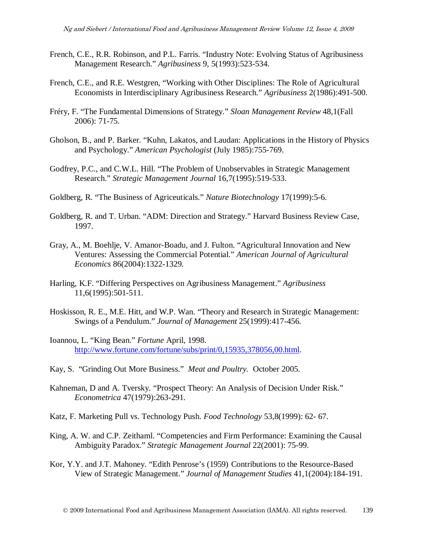- French, C.E., R.R. Robinson, and P.L. Farris. "Industry Note: Evolving Status of Agribusiness Management Research." *Agribusiness* 9, 5(1993):523-534.
- French, C.E., and R.E. Westgren, "Working with Other Disciplines: The Role of Agricultural Economists in Interdisciplinary Agribusiness Research." *Agribusiness* 2(1986):491-500.
- Fréry, F. "The Fundamental Dimensions of Strategy." *Sloan Management Review* 48,1(Fall 2006): 71-75.
- Gholson, B., and P. Barker. "Kuhn, Lakatos, and Laudan: Applications in the History of Physics and Psychology." *American Psychologist* (July 1985):755-769.
- Godfrey, P.C., and C.W.L. Hill. "The Problem of Unobservables in Strategic Management Research." *Strategic Management Journal* 16,7(1995):519-533.
- Goldberg, R. "The Business of Agriceuticals." *Nature Biotechnology* 17(1999):5-6.
- Goldberg, R. and T. Urban. "ADM: Direction and Strategy." Harvard Business Review Case, 1997.
- Gray, A., M. Boehlje, V. Amanor-Boadu, and J. Fulton. "Agricultural Innovation and New Ventures: Assessing the Commercial Potential." *American Journal of Agricultural Economics* 86(2004):1322-1329.
- Harling, K.F. "Differing Perspectives on Agribusiness Management." *Agribusiness* 11,6(1995):501-511.
- Hoskisson, R. E., M.E. Hitt, and W.P. Wan. "Theory and Research in Strategic Management: Swings of a Pendulum." *Journal of Management* 25(1999):417-456.
- Ioannou, L. "King Bean." *Fortune* April, 1998. [http://www.fortune.com/fortune/subs/print/0,15935,378056,00.html.](http://www.fortune.com/fortune/subs/print/0,15935,378056,00.html)
- Kay, S. "Grinding Out More Business." *Meat and Poultry.* October 2005.
- Kahneman, D and A. Tversky. "Prospect Theory: An Analysis of Decision Under Risk." *Econometrica* 47(1979):263-291.
- Katz, F. Marketing Pull vs. Technology Push. *Food Technology* 53,8(1999): 62- 67.
- King, A. W. and C.P. Zeithaml. "Competencies and Firm Performance: Examining the Causal Ambiguity Paradox." *Strategic Management Journal* 22(2001): 75-99.
- Kor, Y.Y. and J.T. Mahoney. "Edith Penrose's (1959) Contributions to the Resource-Based View of Strategic Management." *Journal of Management Studies* 41,1(2004):184-191.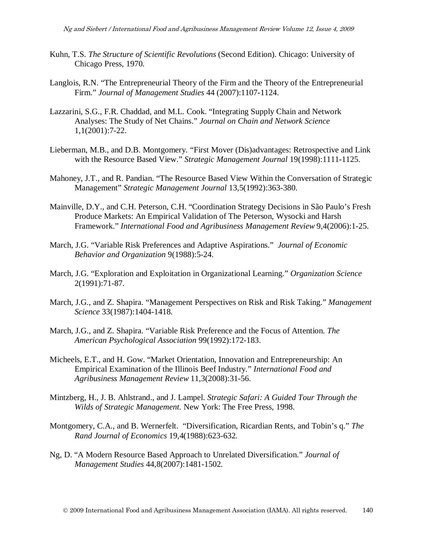- Kuhn, T.S. *The Structure of Scientific Revolutions* (Second Edition). Chicago: University of Chicago Press, 1970.
- Langlois, R.N. "The Entrepreneurial Theory of the Firm and the Theory of the Entrepreneurial Firm." *Journal of Management Studies* 44 (2007):1107-1124.
- Lazzarini, S.G., F.R. Chaddad, and M.L. Cook. "Integrating Supply Chain and Network Analyses: The Study of Net Chains." *Journal on Chain and Network Science* 1,1(2001):7-22.
- Lieberman, M.B., and D.B. Montgomery. "First Mover (Dis)advantages: Retrospective and Link with the Resource Based View." *Strategic Management Journal* 19(1998):1111-1125.
- Mahoney, J.T., and R. Pandian. "The Resource Based View Within the Conversation of Strategic Management" *Strategic Management Journal* 13,5(1992):363-380.
- Mainville, D.Y., and C.H. Peterson, C.H. "Coordination Strategy Decisions in São Paulo's Fresh Produce Markets: An Empirical Validation of The Peterson, Wysocki and Harsh Framework." *International Food and Agribusiness Management Review* 9,4(2006):1-25.
- March, J.G. "Variable Risk Preferences and Adaptive Aspirations." *Journal of Economic Behavior and Organization* 9(1988):5-24.
- March, J.G. "Exploration and Exploitation in Organizational Learning." *Organization Science* 2(1991):71-87.
- March, J.G., and Z. Shapira. "Management Perspectives on Risk and Risk Taking." *Management Science* 33(1987):1404-1418.
- March, J.G., and Z. Shapira. "Variable Risk Preference and the Focus of Attention. *The American Psychological Association* 99(1992):172-183.
- Micheels, E.T., and H. Gow. "Market Orientation, Innovation and Entrepreneurship: An Empirical Examination of the Illinois Beef Industry." *International Food and Agribusiness Management Review* 11,3(2008):31-56.
- Mintzberg, H., J. B. Ahlstrand., and J. Lampel. *Strategic Safari: A Guided Tour Through the Wilds of Strategic Management.* New York: The Free Press, 1998.
- Montgomery, C.A., and B. Wernerfelt. "Diversification, Ricardian Rents, and Tobin's q." *The Rand Journal of Economics* 19,4(1988):623-632.
- Ng, D. "A Modern Resource Based Approach to Unrelated Diversification." *Journal of Management Studies* 44,8(2007):1481-1502.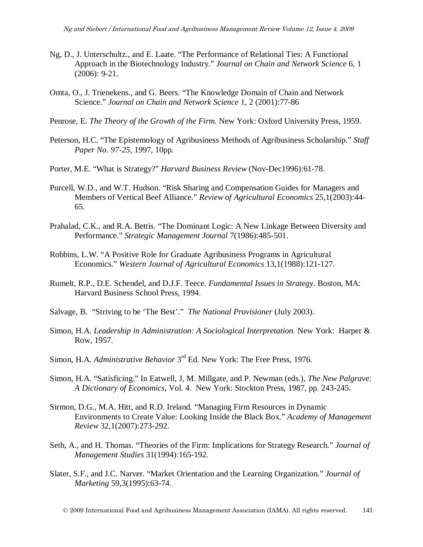- Ng, D., J. Unterschultz., and E. Laate. "The Performance of Relational Ties: A Functional Approach in the Biotechnology Industry." *Journal on Chain and Network Science* 6, 1 (2006): 9-21.
- Omta, O., J. Trienekens., and G. Beers. "The Knowledge Domain of Chain and Network Science." *Journal on Chain and Network Science* 1, 2 (2001):77-86
- Penrose, E. *The Theory of the Growth of the Firm.* New York: Oxford University Press, 1959.
- Peterson, H.C. "The Epistemology of Agribusiness Methods of Agribusiness Scholarship." *Staff Paper No. 97-25,* 1997, 10pp.
- Porter, M.E. "What is Strategy?" *Harvard Business Review* (Nov-Dec1996):61-78.
- Purcell, W.D., and W.T. Hudson. "Risk Sharing and Compensation Guides for Managers and Members of Vertical Beef Alliance." *Review of Agricultural Economics* 25,1(2003):44- 65.
- Prahalad, C.K., and R.A. Bettis. "The Dominant Logic: A New Linkage Between Diversity and Performance." *Strategic Management Journal* 7(1986):485-501.
- Robbins, L.W. "A Positive Role for Graduate Agribusiness Programs in Agricultural Economics." *Western Journal of Agricultural Economics* 13,1(1988):121-127.
- Rumelt, R.P., D.E. Schendel, and D.J.F. Teece. *Fundamental Issues in Strategy*. Boston, MA: Harvard Business School Press, 1994.
- Salvage, B. "Striving to be 'The Best'." *The National Provisioner* (July 2003).
- Simon, H.A. *Leadership in Administration: A Sociological Interpretation.* New York: Harper & Row, 1957.
- Simon, H.A. *Administrative Behavior* 3rd Ed. New York: The Free Press, 1976.
- Simon, H.A. "Satisficing." In Eatwell, J, M. Millgate, and P. Newman (eds.), *The New Palgrave: A Dictionary of Economics*, Vol. 4. New York: Stockton Press, 1987, pp. 243-245.
- Sirmon, D.G., M.A. Hitt, and R.D. Ireland. "Managing Firm Resources in Dynamic Environments to Create Value: Looking Inside the Black Box." *Academy of Management Review* 32,1(2007):273-292.
- Seth, A., and H. Thomas. "Theories of the Firm: Implications for Strategy Research." *Journal of Management Studies* 31(1994):165-192.
- Slater, S.F., and J.C. Narver. "Market Orientation and the Learning Organization." *Journal of Marketing* 59,3(1995):63-74.